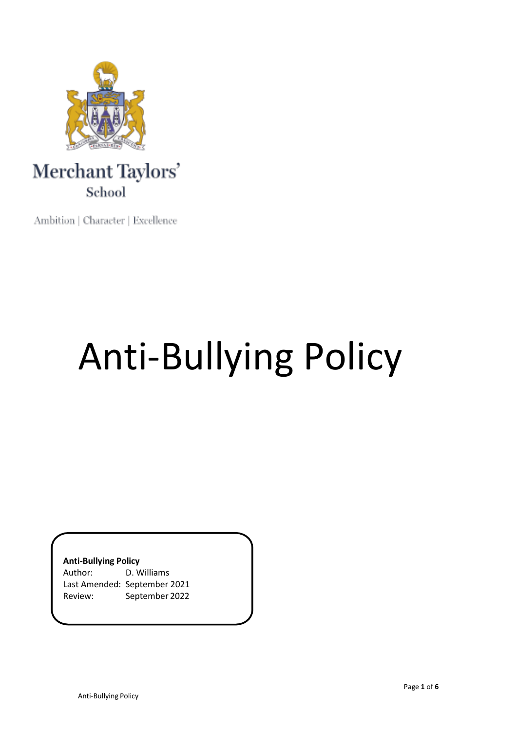

## Merchant Taylors' School

Ambition | Character | Excellence

# Anti-Bullying Policy

### **Anti-Bullying Policy**

| Author: | D. Williams                  |
|---------|------------------------------|
|         | Last Amended: September 2021 |
| Review: | September 2022               |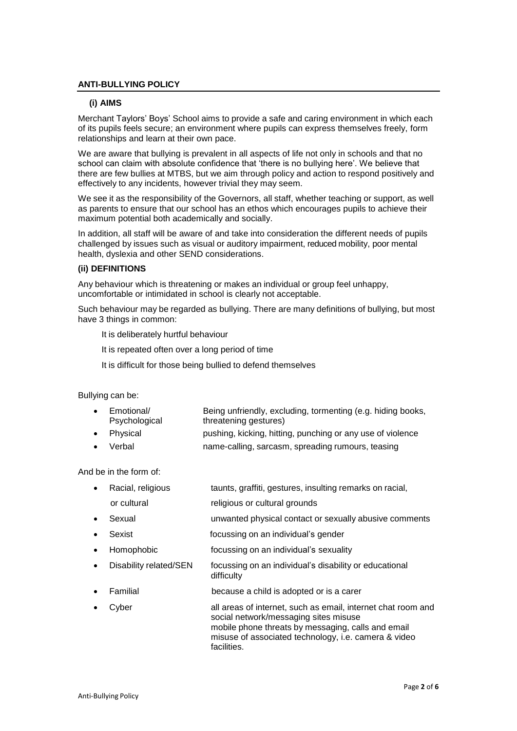#### **ANTI-BULLYING POLICY**

#### **(i) AIMS**

Merchant Taylors' Boys' School aims to provide a safe and caring environment in which each of its pupils feels secure; an environment where pupils can express themselves freely, form relationships and learn at their own pace.

We are aware that bullying is prevalent in all aspects of life not only in schools and that no school can claim with absolute confidence that 'there is no bullying here'. We believe that there are few bullies at MTBS, but we aim through policy and action to respond positively and effectively to any incidents, however trivial they may seem.

We see it as the responsibility of the Governors, all staff, whether teaching or support, as well as parents to ensure that our school has an ethos which encourages pupils to achieve their maximum potential both academically and socially.

In addition, all staff will be aware of and take into consideration the different needs of pupils challenged by issues such as visual or auditory impairment, reduced mobility, poor mental health, dyslexia and other SEND considerations.

#### **(ii) DEFINITIONS**

Any behaviour which is threatening or makes an individual or group feel unhappy, uncomfortable or intimidated in school is clearly not acceptable.

Such behaviour may be regarded as bullying. There are many definitions of bullying, but most have 3 things in common:

It is deliberately hurtful behaviour

It is repeated often over a long period of time

It is difficult for those being bullied to defend themselves

Bullying can be:

| Emotional/    | Being unfriendly, excluding, tormenting (e.g. hiding books, |
|---------------|-------------------------------------------------------------|
| Psychological | threatening gestures)                                       |

- Physical pushing, kicking, hitting, punching or any use of violence
- Verbal name-calling, sarcasm, spreading rumours, teasing

And be in the form of:

- Racial, religious taunts, graffiti, gestures, insulting remarks on racial, or cultural religious or cultural grounds
- Sexual unwanted physical contact or sexually abusive comments
- Sexist **Sexist focussing on an individual's gender**
- Homophobic focussing on an individual's sexuality
- Disability related/SEN focussing on an individual's disability or educational difficulty
- Familial because a child is adopted or is a carer
- Cyber all areas of internet, such as email, internet chat room and social network/messaging sites misuse mobile phone threats by messaging, calls and email misuse of associated technology, i.e. camera & video facilities.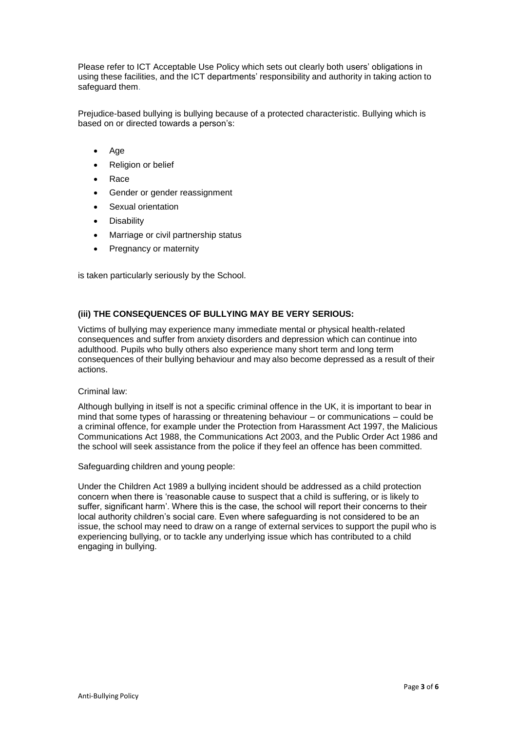Please refer to ICT Acceptable Use Policy which sets out clearly both users' obligations in using these facilities, and the ICT departments' responsibility and authority in taking action to safeguard them.

Prejudice-based bullying is bullying because of a protected characteristic. Bullying which is based on or directed towards a person's:

- Age
- Religion or belief
- Race
- Gender or gender reassignment
- Sexual orientation
- **Disability**
- Marriage or civil partnership status
- Pregnancy or maternity

is taken particularly seriously by the School.

#### **(iii) THE CONSEQUENCES OF BULLYING MAY BE VERY SERIOUS:**

Victims of bullying may experience many immediate mental or physical health-related consequences and suffer from anxiety disorders and depression which can continue into adulthood. Pupils who bully others also experience many short term and long term consequences of their bullying behaviour and may also become depressed as a result of their actions.

#### Criminal law:

Although bullying in itself is not a specific criminal offence in the UK, it is important to bear in mind that some types of harassing or threatening behaviour – or communications – could be a criminal offence, for example under the Protection from Harassment Act 1997, the Malicious Communications Act 1988, the Communications Act 2003, and the Public Order Act 1986 and the school will seek assistance from the police if they feel an offence has been committed.

Safeguarding children and young people:

Under the Children Act 1989 a bullying incident should be addressed as a child protection concern when there is 'reasonable cause to suspect that a child is suffering, or is likely to suffer, significant harm'. Where this is the case, the school will report their concerns to their local authority children's social care. Even where safeguarding is not considered to be an issue, the school may need to draw on a range of external services to support the pupil who is experiencing bullying, or to tackle any underlying issue which has contributed to a child engaging in bullying.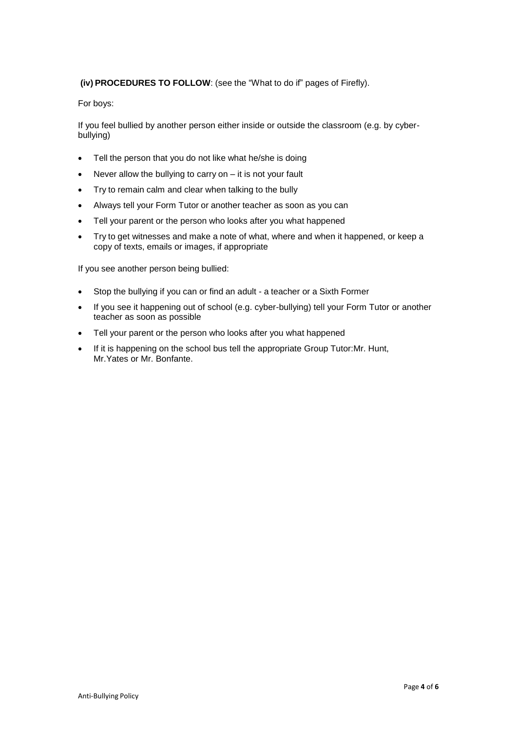#### **(iv) PROCEDURES TO FOLLOW**: (see the "What to do if" pages of Firefly).

For boys:

If you feel bullied by another person either inside or outside the classroom (e.g. by cyberbullying)

- Tell the person that you do not like what he/she is doing
- $\bullet$  Never allow the bullying to carry on  $-$  it is not your fault
- Try to remain calm and clear when talking to the bully
- Always tell your Form Tutor or another teacher as soon as you can
- Tell your parent or the person who looks after you what happened
- Try to get witnesses and make a note of what, where and when it happened, or keep a copy of texts, emails or images, if appropriate

If you see another person being bullied:

- Stop the bullying if you can or find an adult a teacher or a Sixth Former
- If you see it happening out of school (e.g. cyber-bullying) tell your Form Tutor or another teacher as soon as possible
- Tell your parent or the person who looks after you what happened
- If it is happening on the school bus tell the appropriate Group Tutor:Mr. Hunt, Mr.Yates or Mr. Bonfante.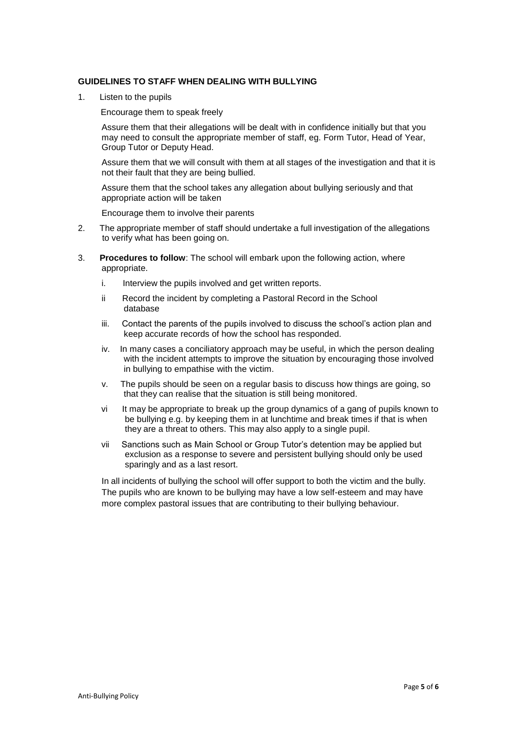#### **GUIDELINES TO STAFF WHEN DEALING WITH BULLYING**

1. Listen to the pupils

Encourage them to speak freely

Assure them that their allegations will be dealt with in confidence initially but that you may need to consult the appropriate member of staff, eg. Form Tutor, Head of Year, Group Tutor or Deputy Head.

Assure them that we will consult with them at all stages of the investigation and that it is not their fault that they are being bullied.

Assure them that the school takes any allegation about bullying seriously and that appropriate action will be taken

Encourage them to involve their parents

- 2. The appropriate member of staff should undertake a full investigation of the allegations to verify what has been going on.
- 3. **Procedures to follow**: The school will embark upon the following action, where appropriate.
	- i. Interview the pupils involved and get written reports.
	- ii Record the incident by completing a Pastoral Record in the School database
	- iii. Contact the parents of the pupils involved to discuss the school's action plan and keep accurate records of how the school has responded.
	- iv. In many cases a conciliatory approach may be useful, in which the person dealing with the incident attempts to improve the situation by encouraging those involved in bullying to empathise with the victim.
	- v. The pupils should be seen on a regular basis to discuss how things are going, so that they can realise that the situation is still being monitored.
	- vi It may be appropriate to break up the group dynamics of a gang of pupils known to be bullying e.g. by keeping them in at lunchtime and break times if that is when they are a threat to others. This may also apply to a single pupil.
	- vii Sanctions such as Main School or Group Tutor's detention may be applied but exclusion as a response to severe and persistent bullying should only be used sparingly and as a last resort.

In all incidents of bullying the school will offer support to both the victim and the bully. The pupils who are known to be bullying may have a low self-esteem and may have more complex pastoral issues that are contributing to their bullying behaviour.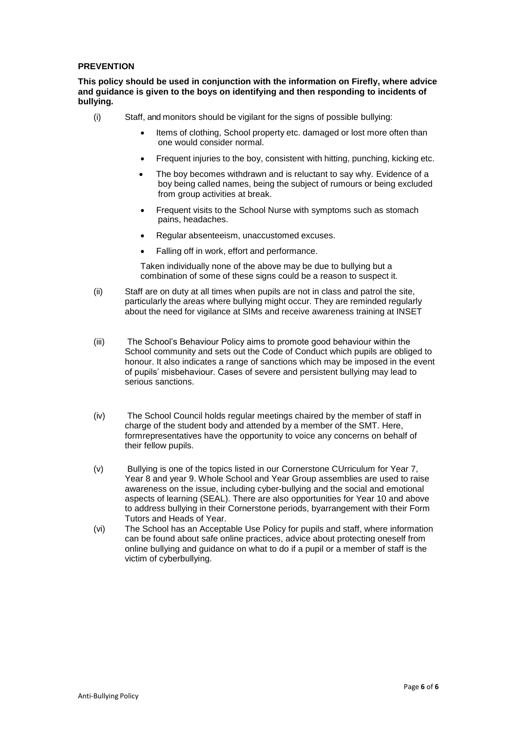#### **PREVENTION**

**This policy should be used in conjunction with the information on Firefly, where advice and guidance is given to the boys on identifying and then responding to incidents of bullying***.*

- (i) Staff, and monitors should be vigilant for the signs of possible bullying:
	- Items of clothing, School property etc. damaged or lost more often than one would consider normal.
	- Frequent injuries to the boy, consistent with hitting, punching, kicking etc.
	- The boy becomes withdrawn and is reluctant to say why. Evidence of a boy being called names, being the subject of rumours or being excluded from group activities at break.
	- Frequent visits to the School Nurse with symptoms such as stomach pains, headaches.
	- Regular absenteeism, unaccustomed excuses.
	- Falling off in work, effort and performance.

Taken individually none of the above may be due to bullying but a combination of some of these signs could be a reason to suspect it.

- (ii) Staff are on duty at all times when pupils are not in class and patrol the site, particularly the areas where bullying might occur. They are reminded regularly about the need for vigilance at SIMs and receive awareness training at INSET
- (iii) The School's Behaviour Policy aims to promote good behaviour within the School community and sets out the Code of Conduct which pupils are obliged to honour. It also indicates a range of sanctions which may be imposed in the event of pupils' misbehaviour. Cases of severe and persistent bullying may lead to serious sanctions.
- (iv) The School Council holds regular meetings chaired by the member of staff in charge of the student body and attended by a member of the SMT. Here, formrepresentatives have the opportunity to voice any concerns on behalf of their fellow pupils.
- (v) Bullying is one of the topics listed in our Cornerstone CUrriculum for Year 7, Year 8 and year 9. Whole School and Year Group assemblies are used to raise awareness on the issue, including cyber-bullying and the social and emotional aspects of learning (SEAL). There are also opportunities for Year 10 and above to address bullying in their Cornerstone periods, byarrangement with their Form Tutors and Heads of Year.
- (vi) The School has an Acceptable Use Policy for pupils and staff, where information can be found about safe online practices, advice about protecting oneself from online bullying and guidance on what to do if a pupil or a member of staff is the victim of cyberbullying.